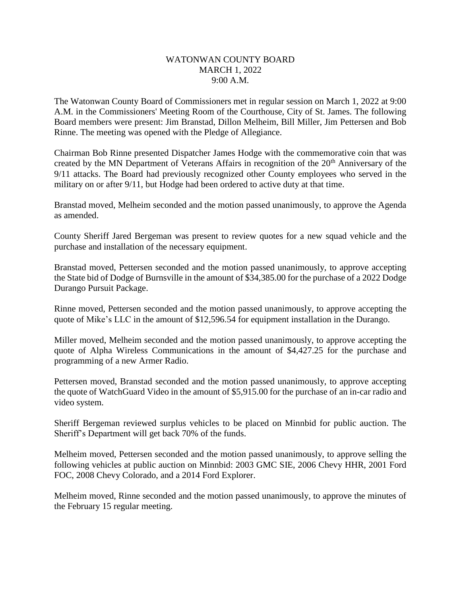## WATONWAN COUNTY BOARD MARCH 1, 2022 9:00 A.M.

The Watonwan County Board of Commissioners met in regular session on March 1, 2022 at 9:00 A.M. in the Commissioners' Meeting Room of the Courthouse, City of St. James. The following Board members were present: Jim Branstad, Dillon Melheim, Bill Miller, Jim Pettersen and Bob Rinne. The meeting was opened with the Pledge of Allegiance.

Chairman Bob Rinne presented Dispatcher James Hodge with the commemorative coin that was created by the MN Department of Veterans Affairs in recognition of the 20<sup>th</sup> Anniversary of the 9/11 attacks. The Board had previously recognized other County employees who served in the military on or after 9/11, but Hodge had been ordered to active duty at that time.

Branstad moved, Melheim seconded and the motion passed unanimously, to approve the Agenda as amended.

County Sheriff Jared Bergeman was present to review quotes for a new squad vehicle and the purchase and installation of the necessary equipment.

Branstad moved, Pettersen seconded and the motion passed unanimously, to approve accepting the State bid of Dodge of Burnsville in the amount of \$34,385.00 for the purchase of a 2022 Dodge Durango Pursuit Package.

Rinne moved, Pettersen seconded and the motion passed unanimously, to approve accepting the quote of Mike's LLC in the amount of \$12,596.54 for equipment installation in the Durango.

Miller moved, Melheim seconded and the motion passed unanimously, to approve accepting the quote of Alpha Wireless Communications in the amount of \$4,427.25 for the purchase and programming of a new Armer Radio.

Pettersen moved, Branstad seconded and the motion passed unanimously, to approve accepting the quote of WatchGuard Video in the amount of \$5,915.00 for the purchase of an in-car radio and video system.

Sheriff Bergeman reviewed surplus vehicles to be placed on Minnbid for public auction. The Sheriff's Department will get back 70% of the funds.

Melheim moved, Pettersen seconded and the motion passed unanimously, to approve selling the following vehicles at public auction on Minnbid: 2003 GMC SIE, 2006 Chevy HHR, 2001 Ford FOC, 2008 Chevy Colorado, and a 2014 Ford Explorer.

Melheim moved, Rinne seconded and the motion passed unanimously, to approve the minutes of the February 15 regular meeting.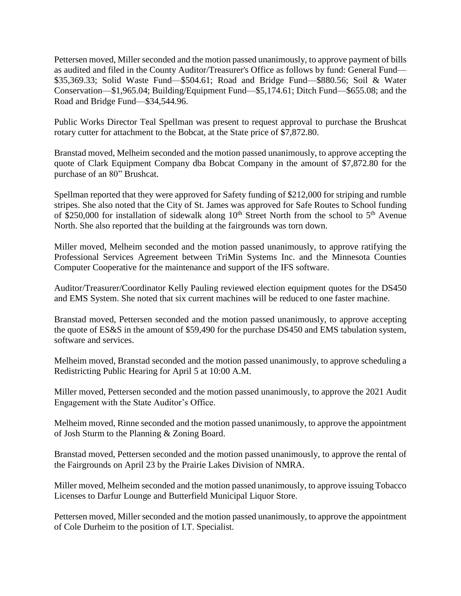Pettersen moved, Miller seconded and the motion passed unanimously, to approve payment of bills as audited and filed in the County Auditor/Treasurer's Office as follows by fund: General Fund— \$35,369.33; Solid Waste Fund—\$504.61; Road and Bridge Fund—\$880.56; Soil & Water Conservation—\$1,965.04; Building/Equipment Fund—\$5,174.61; Ditch Fund—\$655.08; and the Road and Bridge Fund—\$34,544.96.

Public Works Director Teal Spellman was present to request approval to purchase the Brushcat rotary cutter for attachment to the Bobcat, at the State price of \$7,872.80.

Branstad moved, Melheim seconded and the motion passed unanimously, to approve accepting the quote of Clark Equipment Company dba Bobcat Company in the amount of \$7,872.80 for the purchase of an 80" Brushcat.

Spellman reported that they were approved for Safety funding of \$212,000 for striping and rumble stripes. She also noted that the City of St. James was approved for Safe Routes to School funding of \$250,000 for installation of sidewalk along  $10<sup>th</sup>$  Street North from the school to  $5<sup>th</sup>$  Avenue North. She also reported that the building at the fairgrounds was torn down.

Miller moved, Melheim seconded and the motion passed unanimously, to approve ratifying the Professional Services Agreement between TriMin Systems Inc. and the Minnesota Counties Computer Cooperative for the maintenance and support of the IFS software.

Auditor/Treasurer/Coordinator Kelly Pauling reviewed election equipment quotes for the DS450 and EMS System. She noted that six current machines will be reduced to one faster machine.

Branstad moved, Pettersen seconded and the motion passed unanimously, to approve accepting the quote of ES&S in the amount of \$59,490 for the purchase DS450 and EMS tabulation system, software and services.

Melheim moved, Branstad seconded and the motion passed unanimously, to approve scheduling a Redistricting Public Hearing for April 5 at 10:00 A.M.

Miller moved, Pettersen seconded and the motion passed unanimously, to approve the 2021 Audit Engagement with the State Auditor's Office.

Melheim moved, Rinne seconded and the motion passed unanimously, to approve the appointment of Josh Sturm to the Planning & Zoning Board.

Branstad moved, Pettersen seconded and the motion passed unanimously, to approve the rental of the Fairgrounds on April 23 by the Prairie Lakes Division of NMRA.

Miller moved, Melheim seconded and the motion passed unanimously, to approve issuing Tobacco Licenses to Darfur Lounge and Butterfield Municipal Liquor Store.

Pettersen moved, Miller seconded and the motion passed unanimously, to approve the appointment of Cole Durheim to the position of I.T. Specialist.